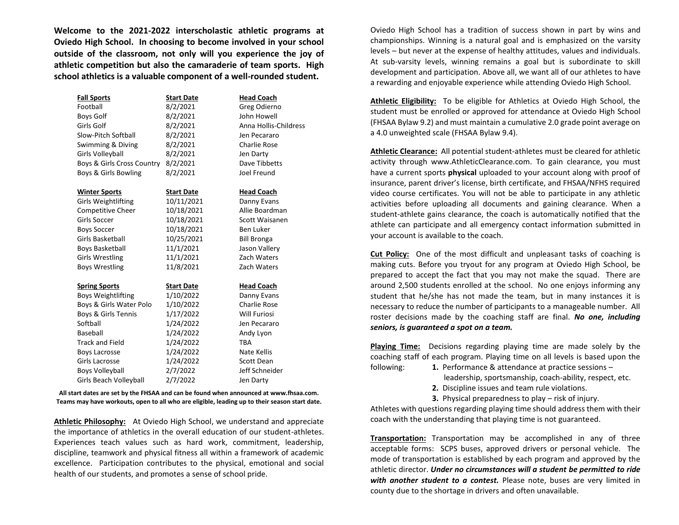**Welcome to the 2021-2022 interscholastic athletic programs at Oviedo High School. In choosing to become involved in your school outside of the classroom, not only will you experience the joy of athletic competition but also the camaraderie of team sports. High school athletics is a valuable component of a well-rounded student.** 

| <b>Fall Sports</b>         | <b>Start Date</b> | <b>Head Coach</b>     |
|----------------------------|-------------------|-----------------------|
| Football                   | 8/2/2021          | Greg Odierno          |
| <b>Boys Golf</b>           | 8/2/2021          | John Howell           |
| Girls Golf                 | 8/2/2021          | Anna Hollis-Childress |
| Slow-Pitch Softball        | 8/2/2021          | Jen Pecararo          |
| Swimming & Diving          | 8/2/2021          | <b>Charlie Rose</b>   |
| Girls Volleyball           | 8/2/2021          | Jen Darty             |
| Boys & Girls Cross Country | 8/2/2021          | Dave Tibbetts         |
| Boys & Girls Bowling       | 8/2/2021          | Joel Freund           |
| <b>Winter Sports</b>       | <b>Start Date</b> | <b>Head Coach</b>     |
| <b>Girls Weightlifting</b> | 10/11/2021        | Danny Evans           |
| Competitive Cheer          | 10/18/2021        | Allie Boardman        |
| <b>Girls Soccer</b>        | 10/18/2021        | Scott Waisanen        |
| <b>Boys Soccer</b>         | 10/18/2021        | Ben Luker             |
| Girls Basketball           | 10/25/2021        | <b>Bill Bronga</b>    |
| <b>Boys Basketball</b>     | 11/1/2021         | Jason Vallery         |
| <b>Girls Wrestling</b>     | 11/1/2021         | Zach Waters           |
| <b>Boys Wrestling</b>      | 11/8/2021         | Zach Waters           |
| <b>Spring Sports</b>       | <b>Start Date</b> | <b>Head Coach</b>     |
| <b>Boys Weightlifting</b>  | 1/10/2022         | Danny Evans           |
| Boys & Girls Water Polo    | 1/10/2022         | <b>Charlie Rose</b>   |
| Boys & Girls Tennis        | 1/17/2022         | <b>Will Furiosi</b>   |
| Softball                   | 1/24/2022         | Jen Pecararo          |
| Baseball                   | 1/24/2022         | Andy Lyon             |
| <b>Track and Field</b>     | 1/24/2022         | TBA                   |
| <b>Boys Lacrosse</b>       | 1/24/2022         | Nate Kellis           |
| Girls Lacrosse             | 1/24/2022         | Scott Dean            |
| <b>Boys Volleyball</b>     | 2/7/2022          | Jeff Schneider        |
| Girls Beach Volleyball     | 2/7/2022          | Jen Darty             |

**All start dates are set by the FHSAA and can be found when announced at www.fhsaa.com. Teams may have workouts, open to all who are eligible, leading up to their season start date.**

**Athletic Philosophy:** At Oviedo High School, we understand and appreciate the importance of athletics in the overall education of our student-athletes. Experiences teach values such as hard work, commitment, leadership, discipline, teamwork and physical fitness all within a framework of academic excellence. Participation contributes to the physical, emotional and social health of our students, and promotes a sense of school pride.

Oviedo High School has a tradition of success shown in part by wins and championships. Winning is a natural goal and is emphasized on the varsity levels – but never at the expense of healthy attitudes, values and individuals. At sub-varsity levels, winning remains a goal but is subordinate to skill development and participation. Above all, we want all of our athletes to have a rewarding and enjoyable experience while attending Oviedo High School.

**Athletic Eligibility:** To be eligible for Athletics at Oviedo High School, the student must be enrolled or approved for attendance at Oviedo High School (FHSAA Bylaw 9.2) and must maintain a cumulative 2.0 grade point average on a 4.0 unweighted scale (FHSAA Bylaw 9.4).

**Athletic Clearance:** All potential student-athletes must be cleared for athletic activity through www.AthleticClearance.com. To gain clearance, you must have a current sports **physical** uploaded to your account along with proof of insurance, parent driver's license, birth certificate, and FHSAA/NFHS required video course certificates. You will not be able to participate in any athletic activities before uploading all documents and gaining clearance. When a student-athlete gains clearance, the coach is automatically notified that the athlete can participate and all emergency contact information submitted in your account is available to the coach.

**Cut Policy:** One of the most difficult and unpleasant tasks of coaching is making cuts. Before you tryout for any program at Oviedo High School, be prepared to accept the fact that you may not make the squad. There are around 2,500 students enrolled at the school. No one enjoys informing any student that he/she has not made the team, but in many instances it is necessary to reduce the number of participants to a manageable number. All roster decisions made by the coaching staff are final. *No one, including seniors, is guaranteed a spot on a team.*

**Playing Time:** Decisions regarding playing time are made solely by the coaching staff of each program. Playing time on all levels is based upon the following: **1.** Performance & attendance at practice sessions –

- 
- leadership, sportsmanship, coach-ability, respect, etc. **2.** Discipline issues and team rule violations.
- **3.** Physical preparedness to play risk of injury.

Athletes with questions regarding playing time should address them with their coach with the understanding that playing time is not guaranteed.

**Transportation:** Transportation may be accomplished in any of three acceptable forms: SCPS buses, approved drivers or personal vehicle. The mode of transportation is established by each program and approved by the athletic director. *Under no circumstances will a student be permitted to ride with another student to a contest.* Please note, buses are very limited in county due to the shortage in drivers and often unavailable.